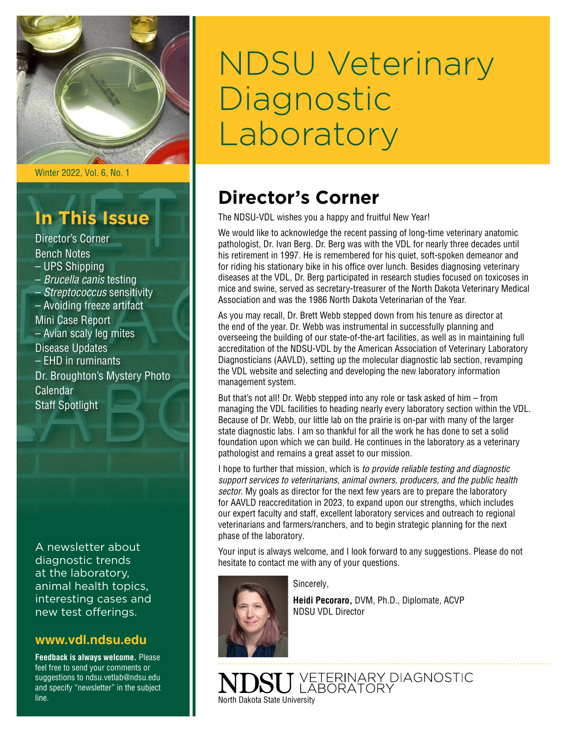

Winter 2022, Vol. 6, No. 1

# **In This Issue**

Director's Corner Bench Notes – UPS Shipping – *Brucella canis* testing – *Streptococcus* sensitivity – Avoiding freeze artifact Mini Case Report – Avian scaly leg mites Disease Updates – EHD in ruminants Dr. Broughton's Mystery Photo Calendar Staff Spotlight

A newsletter about diagnostic trends at the laboratory, animal health topics, interesting cases and new test offerings.

### **[www.vdl.ndsu.edu](file:///C:\Users\david.haasser\AppData\Local\Microsoft\Windows\Temporary%20Internet%20Files\Content.Outlook\2SAH4N2J\www.ag.ndsu.edu\ansc\)**

**Feedback is always welcome.** Please feel free to send your comments or suggestions to ndsu.vetlab@ndsu.edu and specify "newsletter" in the subject line.

# NDSU Veterinary **Diagnostic** Laboratory

# **Director's Corner**

The NDSU-VDL wishes you a happy and fruitful New Year!

We would like to acknowledge the recent passing of long-time veterinary anatomic pathologist, Dr. Ivan Berg. Dr. Berg was with the VDL for nearly three decades until his retirement in 1997. He is remembered for his quiet, soft-spoken demeanor and for riding his stationary bike in his office over lunch. Besides diagnosing veterinary diseases at the VDL, Dr. Berg participated in research studies focused on toxicoses in mice and swine, served as secretary-treasurer of the North Dakota Veterinary Medical Association and was the 1986 North Dakota Veterinarian of the Year.

As you may recall, Dr. Brett Webb stepped down from his tenure as director at the end of the year. Dr. Webb was instrumental in successfully planning and overseeing the building of our state-of-the-art facilities, as well as in maintaining full accreditation of the NDSU-VDL by the American Association of Veterinary Laboratory Diagnosticians (AAVLD), setting up the molecular diagnostic lab section, revamping the VDL website and selecting and developing the new laboratory information management system.

But that's not all! Dr. Webb stepped into any role or task asked of him – from managing the VDL facilities to heading nearly every laboratory section within the VDL. Because of Dr. Webb, our little lab on the prairie is on-par with many of the larger state diagnostic labs. I am so thankful for all the work he has done to set a solid foundation upon which we can build. He continues in the laboratory as a veterinary pathologist and remains a great asset to our mission.

I hope to further that mission, which is *to provide reliable testing and diagnostic support services to veterinarians, animal owners, producers, and the public health sector*. My goals as director for the next few years are to prepare the laboratory for AAVLD reaccreditation in 2023, to expand upon our strengths, which includes our expert faculty and staff, excellent laboratory services and outreach to regional veterinarians and farmers/ranchers, and to begin strategic planning for the next phase of the laboratory.

Your input is always welcome, and I look forward to any suggestions. Please do not hesitate to contact me with any of your questions.



Sincerely,

**Heidi Pecoraro,** DVM, Ph.D., Diplomate, ACVP NDSU VDL Director

J VETERINARY DIAGNOSTIC<br>J LABORATORY North Dakota State University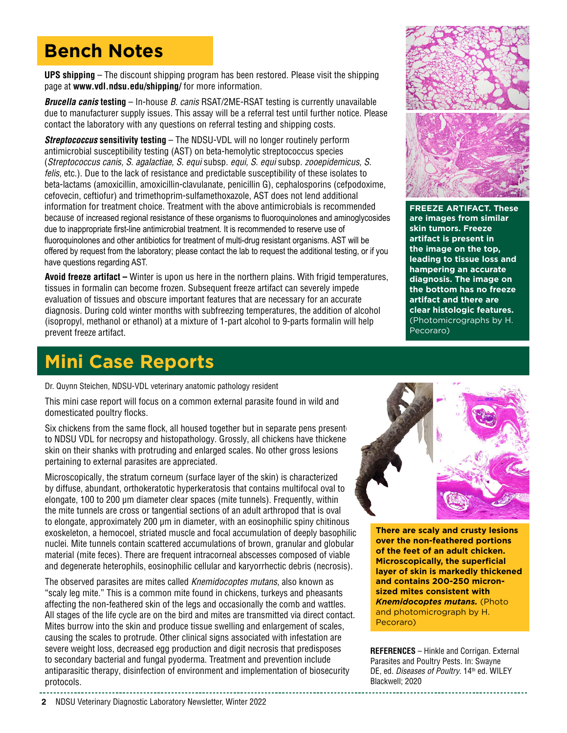# **Bench Notes**

**UPS shipping** – The discount shipping program has been restored. Please visit the shipping page at **[www.vdl.ndsu.edu/shipping/](https://www.vdl.ndsu.edu/shipping/)** for more information.

*Brucella canis* **testing** – In-house *B. canis* RSAT/2ME-RSAT testing is currently unavailable due to manufacturer supply issues. This assay will be a referral test until further notice. Please contact the laboratory with any questions on referral testing and shipping costs.

*Streptococcus* **sensitivity testing** – The NDSU-VDL will no longer routinely perform antimicrobial susceptibility testing (AST) on beta-hemolytic streptococcus species (*Streptococcus canis, S. agalactiae, S. equi* subsp. *equi, S. equi* subsp. *zooepidemicus, S. felis,* etc.). Due to the lack of resistance and predictable susceptibility of these isolates to beta-lactams (amoxicillin, amoxicillin-clavulanate, penicillin G), cephalosporins (cefpodoxime, cefovecin, ceftiofur) and trimethoprim-sulfamethoxazole, AST does not lend additional information for treatment choice. Treatment with the above antimicrobials is recommended because of increased regional resistance of these organisms to fluoroquinolones and aminoglycosides due to inappropriate first-line antimicrobial treatment. It is recommended to reserve use of fluoroquinolones and other antibiotics for treatment of multi-drug resistant organisms. AST will be offered by request from the laboratory; please contact the lab to request the additional testing, or if you have questions regarding AST.

**Avoid freeze artifact –** Winter is upon us here in the northern plains. With frigid temperatures, tissues in formalin can become frozen. Subsequent freeze artifact can severely impede evaluation of tissues and obscure important features that are necessary for an accurate diagnosis. During cold winter months with subfreezing temperatures, the addition of alcohol (isopropyl, methanol or ethanol) at a mixture of 1-part alcohol to 9-parts formalin will help prevent freeze artifact.

# **Mini Case Reports**

Dr. Quynn Steichen, NDSU-VDL veterinary anatomic pathology resident

This mini case report will focus on a common external parasite found in wild and domesticated poultry flocks.

Six chickens from the same flock, all housed together but in separate pens present to NDSU VDL for necropsy and histopathology. Grossly, all chickens have thickene skin on their shanks with protruding and enlarged scales. No other gross lesions pertaining to external parasites are appreciated.

Microscopically, the stratum corneum (surface layer of the skin) is characterized by diffuse, abundant, orthokeratotic hyperkeratosis that contains multifocal oval to elongate, 100 to 200 µm diameter clear spaces (mite tunnels). Frequently, within the mite tunnels are cross or tangential sections of an adult arthropod that is oval to elongate, approximately 200 µm in diameter, with an eosinophilic spiny chitinous exoskeleton, a hemocoel, striated muscle and focal accumulation of deeply basophilic nuclei. Mite tunnels contain scattered accumulations of brown, granular and globular material (mite feces). There are frequent intracorneal abscesses composed of viable and degenerate heterophils, eosinophilic cellular and karyorrhectic debris (necrosis).

The observed parasites are mites called *Knemidocoptes mutans*, also known as "scaly leg mite." This is a common mite found in chickens, turkeys and pheasants affecting the non-feathered skin of the legs and occasionally the comb and wattles. All stages of the life cycle are on the bird and mites are transmitted via direct contact. Mites burrow into the skin and produce tissue swelling and enlargement of scales, causing the scales to protrude. Other clinical signs associated with infestation are severe weight loss, decreased egg production and digit necrosis that predisposes to secondary bacterial and fungal pyoderma. Treatment and prevention include antiparasitic therapy, disinfection of environment and implementation of biosecurity protocols.



**FREEZE ARTIFACT. These are images from similar skin tumors. Freeze artifact is present in the image on the top, leading to tissue loss and hampering an accurate diagnosis. The image on the bottom has no freeze artifact and there are clear histologic features.**  (Photomicrographs by H. Pecoraro)



**There are scaly and crusty lesions over the non-feathered portions of the feet of an adult chicken. Microscopically, the superficial layer of skin is markedly thickened and contains 200-250 micronsized mites consistent with**  *Knemidocoptes mutans.* (Photo and photomicrograph by H. Pecoraro)

**REFERENCES** – Hinkle and Corrigan. External Parasites and Poultry Pests. In: Swayne DE, ed. Diseases of Poultry. 14<sup>th</sup> ed. WILEY Blackwell; 2020

**<sup>2</sup>** NDSU Veterinary Diagnostic Laboratory Newsletter, Winter 2022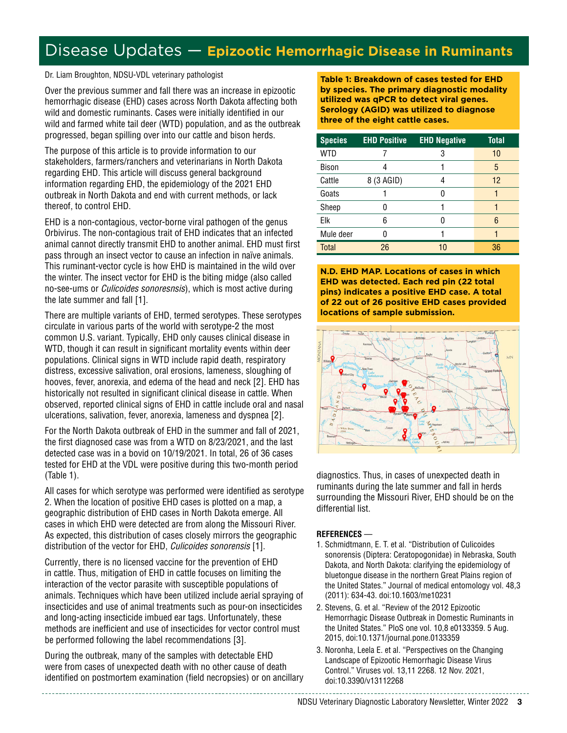### Disease Updates — **Epizootic Hemorrhagic Disease in Ruminants**

Dr. Liam Broughton, NDSU-VDL veterinary pathologist

Over the previous summer and fall there was an increase in epizootic hemorrhagic disease (EHD) cases across North Dakota affecting both wild and domestic ruminants. Cases were initially identified in our wild and farmed white tail deer (WTD) population, and as the outbreak progressed, began spilling over into our cattle and bison herds.

The purpose of this article is to provide information to our stakeholders, farmers/ranchers and veterinarians in North Dakota regarding EHD. This article will discuss general background information regarding EHD, the epidemiology of the 2021 EHD outbreak in North Dakota and end with current methods, or lack thereof, to control EHD.

EHD is a non-contagious, vector-borne viral pathogen of the genus Orbivirus. The non-contagious trait of EHD indicates that an infected animal cannot directly transmit EHD to another animal. EHD must first pass through an insect vector to cause an infection in naïve animals. This ruminant-vector cycle is how EHD is maintained in the wild over the winter. The insect vector for EHD is the biting midge (also called no-see-ums or *Culicoides sonoresnsis*), which is most active during the late summer and fall [1].

There are multiple variants of EHD, termed serotypes. These serotypes circulate in various parts of the world with serotype-2 the most common U.S. variant. Typically, EHD only causes clinical disease in WTD, though it can result in significant mortality events within deer populations. Clinical signs in WTD include rapid death, respiratory distress, excessive salivation, oral erosions, lameness, sloughing of hooves, fever, anorexia, and edema of the head and neck [2]. EHD has historically not resulted in significant clinical disease in cattle. When observed, reported clinical signs of EHD in cattle include oral and nasal ulcerations, salivation, fever, anorexia, lameness and dyspnea [2].

For the North Dakota outbreak of EHD in the summer and fall of 2021, the first diagnosed case was from a WTD on 8/23/2021, and the last detected case was in a bovid on 10/19/2021. In total, 26 of 36 cases tested for EHD at the VDL were positive during this two-month period (Table 1).

All cases for which serotype was performed were identified as serotype 2. When the location of positive EHD cases is plotted on a map, a geographic distribution of EHD cases in North Dakota emerge. All cases in which EHD were detected are from along the Missouri River. As expected, this distribution of cases closely mirrors the geographic distribution of the vector for EHD, *Culicoides sonorensis* [1].

Currently, there is no licensed vaccine for the prevention of EHD in cattle. Thus, mitigation of EHD in cattle focuses on limiting the interaction of the vector parasite with susceptible populations of animals. Techniques which have been utilized include aerial spraying of insecticides and use of animal treatments such as pour-on insecticides and long-acting insecticide imbued ear tags. Unfortunately, these methods are inefficient and use of insecticides for vector control must be performed following the label recommendations [3].

During the outbreak, many of the samples with detectable EHD were from cases of unexpected death with no other cause of death identified on postmortem examination (field necropsies) or on ancillary **Table 1: Breakdown of cases tested for EHD by species. The primary diagnostic modality utilized was qPCR to detect viral genes. Serology (AGID) was utilized to diagnose three of the eight cattle cases.**

| <b>Species</b> | <b>EHD Positive</b> | <b>EHD Negative</b> | <b>Total</b> |
|----------------|---------------------|---------------------|--------------|
| WTD            |                     | 3                   | 10           |
| Bison          |                     |                     | 5            |
| Cattle         | 8 (3 AGID)          |                     | 12           |
| Goats          |                     |                     |              |
| Sheep          |                     |                     |              |
| Elk            | 6                   |                     | 6            |
| Mule deer      |                     |                     |              |
| <b>Total</b>   | 26                  | 10                  | 36           |

**N.D. EHD MAP. Locations of cases in which EHD was detected. Each red pin (22 total pins) indicates a positive EHD case. A total of 22 out of 26 positive EHD cases provided locations of sample submission.**



diagnostics. Thus, in cases of unexpected death in ruminants during the late summer and fall in herds surrounding the Missouri River, EHD should be on the differential list.

#### **REFERENCES** —

- 1. Schmidtmann, E. T. et al. "Distribution of Culicoides sonorensis (Diptera: Ceratopogonidae) in Nebraska, South Dakota, and North Dakota: clarifying the epidemiology of bluetongue disease in the northern Great Plains region of the United States." Journal of medical entomology vol. 48,3 (2011): 634-43. doi:10.1603/me10231
- 2. Stevens, G. et al. "Review of the 2012 Epizootic Hemorrhagic Disease Outbreak in Domestic Ruminants in the United States." PloS one vol. 10,8 e0133359. 5 Aug. 2015, doi:10.1371/journal.pone.0133359
- 3. Noronha, Leela E. et al. "Perspectives on the Changing Landscape of Epizootic Hemorrhagic Disease Virus Control." Viruses vol. 13,11 2268. 12 Nov. 2021, doi:10.3390/v13112268